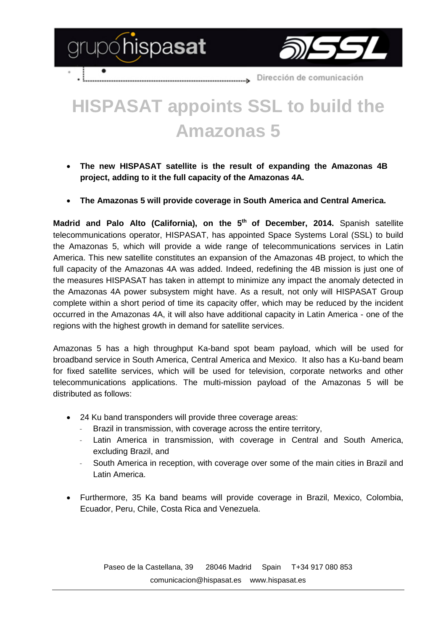



Dirección de comunicación ....................

## **HISPASAT appoints SSL to build the Amazonas 5**

- **The new HISPASAT satellite is the result of expanding the Amazonas 4B project, adding to it the full capacity of the Amazonas 4A.**
- **The Amazonas 5 will provide coverage in South America and Central America.**

Madrid and Palo Alto (California), on the 5<sup>th</sup> of December, 2014. Spanish satellite telecommunications operator, HISPASAT, has appointed Space Systems Loral (SSL) to build the Amazonas 5, which will provide a wide range of telecommunications services in Latin America. This new satellite constitutes an expansion of the Amazonas 4B project, to which the full capacity of the Amazonas 4A was added. Indeed, redefining the 4B mission is just one of the measures HISPASAT has taken in attempt to minimize any impact the anomaly detected in the Amazonas 4A power subsystem might have. As a result, not only will HISPASAT Group complete within a short period of time its capacity offer, which may be reduced by the incident occurred in the Amazonas 4A, it will also have additional capacity in Latin America - one of the regions with the highest growth in demand for satellite services.

Amazonas 5 has a high throughput Ka-band spot beam payload, which will be used for broadband service in South America, Central America and Mexico. It also has a Ku-band beam for fixed satellite services, which will be used for television, corporate networks and other telecommunications applications. The multi-mission payload of the Amazonas 5 will be distributed as follows:

- 24 Ku band transponders will provide three coverage areas:
	- Brazil in transmission, with coverage across the entire territory,
	- Latin America in transmission, with coverage in Central and South America, excluding Brazil, and
	- South America in reception, with coverage over some of the main cities in Brazil and Latin America.
- Furthermore, 35 Ka band beams will provide coverage in Brazil, Mexico, Colombia, Ecuador, Peru, Chile, Costa Rica and Venezuela.